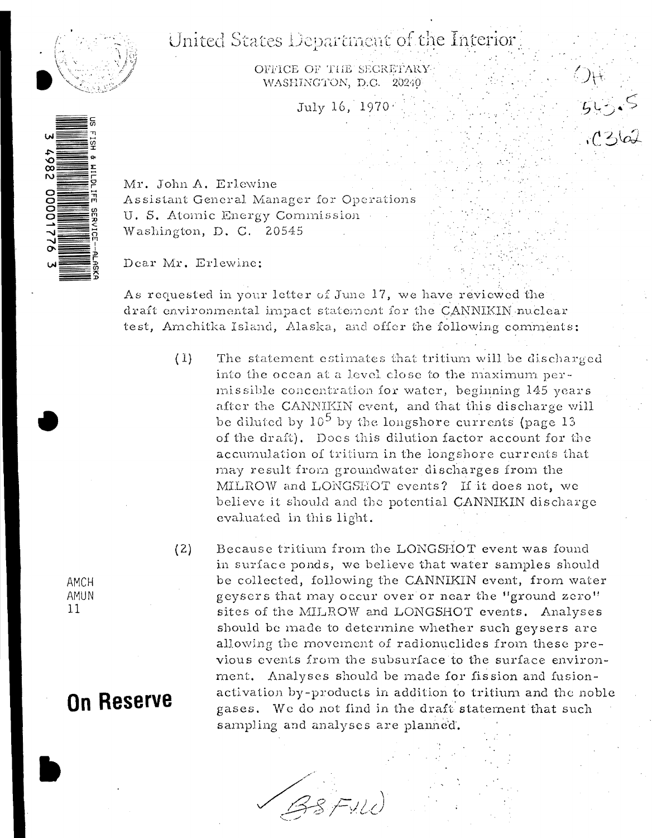### United States Department of the Interior



OFFICE OF THE SECRETARY WASHINGTON, D.C. 20240

July 16, 1970.

Mr. John A. Erlewine Assistant General Manager for Operations U. S. Atomic Energy Commission Washington, D. C. 20545

Dear Mr. Erlewine:

As requested in your letter of June 17, we have reviewed the draft environmental impact statement for the CANNIKIN nuclear test, Amchitka Island, Alaska, and offer the following comments:

> $(1)$ The statement estimates that tritium will be discharged into the ocean at a level close to the maximum permissible concentration for water, beginning 145 years after the CANNIKIN event, and that this discharge will be diluted by  $10^5$  by the longshore currents (page 13) of the draft). Does this dilution factor account for the accumulation of tritium in the longshore currents that may result from groundwater discharges from the MILROW and LONGSHOT events? If it does not, we believe it should and the potential CANNIKIN discharge evaluated in this light.

 $(2)$ Because tritium from the LONGSHOT event was found in surface ponds, we believe that water samples should be collected, following the CANNIKIN event, from water geysers that may occur over or near the "ground zero" sites of the MILROW and LONGSHOT events. Analyses should be made to determine whether such geysers are allowing the movement of radionuclides from these previous events from the subsurface to the surface environment. Analyses should be made for fission and fusionactivation by-products in addition to tritium and the noble gases. We do not find in the draft statement that such sampling and analyses are planned.

BSFILL

AMCH AMUN  $11$ 

## **On Reserve**

2867 0000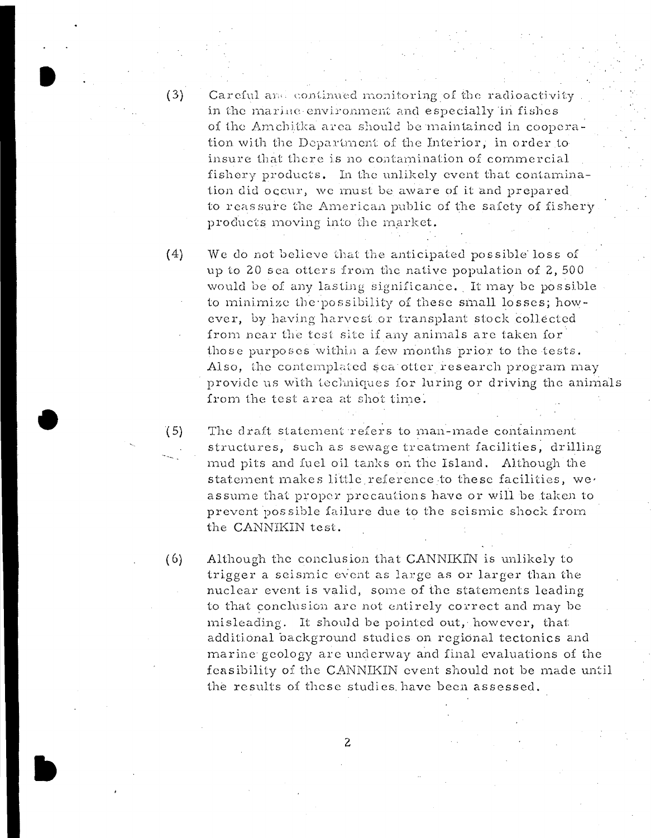$(3)$ 

 $(5)$ 

Careful and continued monitoring of the radioactivity in the marine environment and especially in fishes of the Amchitka area should be maintained in cooperation with the Department of the Interior, in order to insure that there is no contamination of commercial fishery products. In the unlikely event that contamination did occur, we must be aware of it and prepared to reassure the American public of the safety of fishery products moving into the market.

 $(4)$ We do not believe that the anticipated possible loss of up to 20 sea otters from the native population of 2,500 would be of any lasting significance. It may be possible to minimize the possibility of these small losses; however, by having harvest or transplant stock collected from near the test site if any animals are taken for those purposes within a few months prior to the tests. Also, the contemplated sea otter research program may provide us with techniques for luring or driving the animals from the test area at shot time.

The draft statement refers to man-made containment structures, such as sewage treatment facilities, drilling mud pits and fuel oil tanks on the Island. Although the statement makes little reference to these facilities, we assume that proper precautions have or will be taken to prevent possible failure due to the scismic shock from the CANNIKIN test.

 $(6)$ Although the conclusion that CANNIKIN is unlikely to trigger a seismic event as large as or larger than the nuclear event is valid, some of the statements leading to that conclusion are not entirely correct and may be misleading. It should be pointed out, however, that additional background studies on regional tectonics and marine geology are underway and final evaluations of the feasibility of the CANNIKIN event should not be made until the results of these studies have been assessed.

2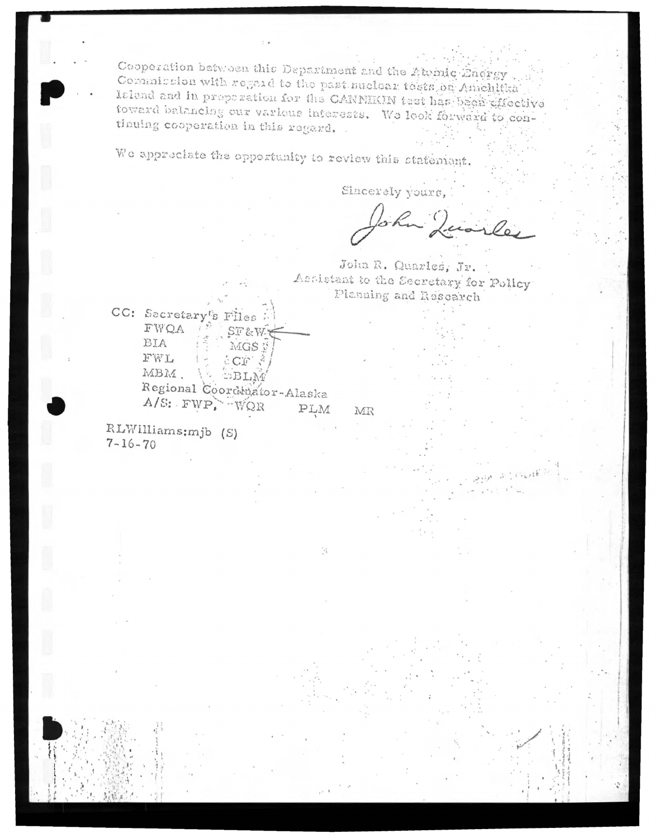Cooperation between this Department and the Atemic Dnergy Commission with regard to the past nuclear tests on Amchitta Island and in proposation for the CANNEKIN test has been effective toward balancing our various interests. We look forward to conthuing cooperation in this regard.

We appreciate the opportunity to review this statement.

Sincerely yours,

John Juarles

John R. Quarles, Jr. Accistant to the Secretary for Policy Planning and Research

MR

 $\mathcal{C}_1$ 

CC: Secretary's Files FWOA ST&W BIA MGS # FWL  $\mathcal{L}_{\mathcal{A}}$  $C\subset \mathbb{C}$ MBM.  $EBLM$ γç. Regional Coordinator-Alaska PLM

RLWilliams: mjb (S)  $7 - 16 - 70$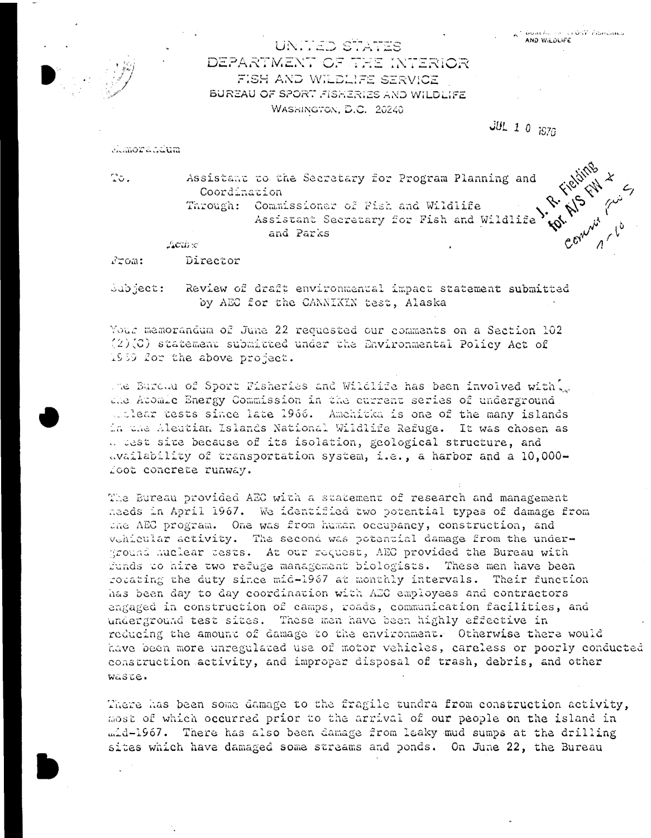Emmy / 10

UNITED STATES DEPARTMENT OF THE INTERIOR FISH AND WILDLIFE SERVICE BUREAU OF SPORT FISHERIES AND WILDLIFE WASHINGTON, D.C. 20240

 $JUL$  1 0 1970

Manorandum

 $T\circ$ .

Assistant to the Secretary for Program Planning and Coordination Through: Commissioner of Fish and Wildlife Assistant Secretary for Fish and Wildlife and Parks

**Active** 

Director From:

Subject: Review of draft environmental impact statement submitted by AEC for the CANNIKIN test, Alaska

Your memorandum of June 22 requested our comments on a Section 102  $(2)(3)$  statement submitted under the Environmental Policy Act of 1969 for the above project.

the Bureau of Sport Fisheries and Wildlife has been involved with. the Atomic Energy Commission in the current series of underground unlear tests since late 1966. Amehitka is one of the many islands in the Aleutian Islands National Wildlife Refuge. It was chosen as a test site because of its isolation, geological structure, and availability of transportation system, i.e., a harbor and a 10,000foot concrete runway.

The Bureau provided AEC with a statement of research and management naeds in April 1967. We identified two potential types of damage from the AEC program. One was from human occupancy, construction, and vehicular activity. The second was potential damage from the underground nuclear tests. At our request, AEC provided the Bureau with funds to hire two refuge management biologists. These men have been rocating the duty since mid-1967 at monthly intervals. Their function has been day to day coordination with AEC employees and contractors angaged in construction of camps, roads, communication facilities, and underground test sites. These men have been highly effective in reducing the amount of damage to the environment. Otherwise there would have been more unregulated use of motor vehicles, careless or poorly conducted construction activity, and improper disposal of trash, debris, and other waste.

There has been some damage to the fragile tundra from construction activity, most of which occurred prior to the arrival of our people on the island in mid-1967. There has also been damage from leaky mud sumps at the drilling sites which have damaged some streams and ponds. On June 22, the Bureau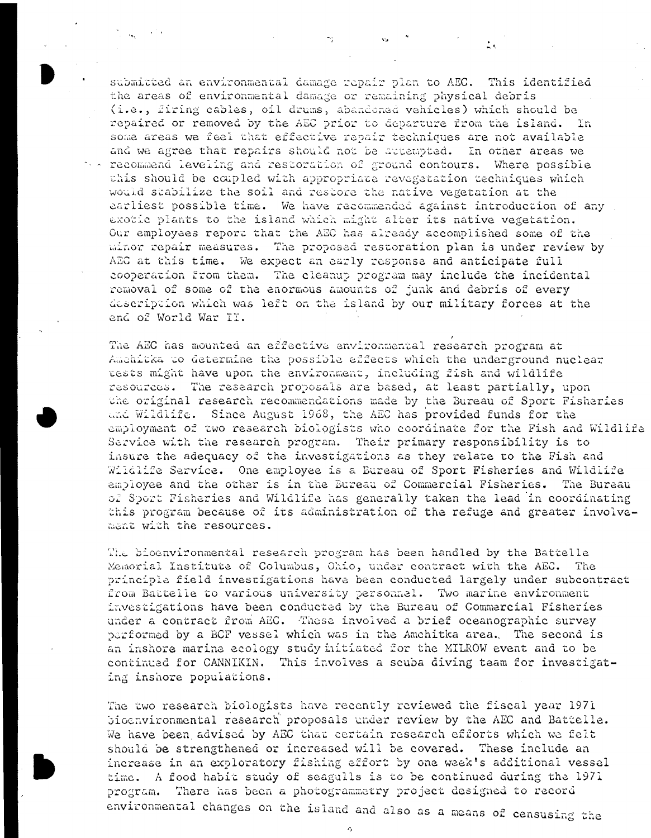submitted an environmental damage repair plan to AEC. This identified the areas of environmental damage or remaining physical debris (i.e., firing cables, oil drums, abandoned vehicles) which should be repaired or removed by the AEC prior to departure from the island. In some areas we feel that effective repair techniques are not available and we agree that repairs should not be attempted. In other areas we > - recommend leveling and restoration of ground contours. Where possible this should be coupled with appropriate revegetation techniques which would stabilize the soil and restore the native vegetation at the earliest possible time. We have recommended against introduction of any exotic plants to the island which might alter its native vegetation. Our employees report that the AEC has already accomplished some of the minor repair measures. The proposed restoration plan is under review by AEC at this time. We expect an early response and anticipate full cooperation from them. The cleanup program may include the incidental removal of some of the enormous amounts of junk and debris of every description which was left on the island by our military forces at the end of World War II.

The AEC has mounted an effective environmental research program at Amehitka to determine the possible effects which the underground nuclear tests might have upon the environment, including fish and wildlife resources. The research proposals are based, at least partially, upon the original research recommendations made by the Bureau of Sport Fisheries and Wildlife. Since August 1968, the AEC has provided funds for the employment of two research biologists who coordinate for the Fish and Wildlife Service with the research program. Their primary responsibility is to insure the adequacy of the investigations as they relate to the Fish and Wildlife Service. One employee is a Eureau of Sport Fisheries and Wildlife employee and the other is in the Bureau of Commercial Fisheries. The Bureau of Sport Fisheries and Wildlife has generally taken the lead in coordinating this program because of its administration of the refuge and greater involvement with the resources.

The bioenvironmental research program has been handled by the Battelle Memorial Institute of Columbus, Ohio, under contract with the AEC. The principle field investigations have been conducted largely under subcontract from Battelle to various university personnel. Two marine environment investigations have been conducted by the Bureau of Commercial Fisheries under a contract from AEC. These involved a brief oceanographic survey performed by a BCF vessel which was in the Amchitka area. The second is an inshore marine ecology study initiated for the MILROW event and to be continued for CANNIKIN. This involves a scuba diving team for investigating inshore populations.

The two research biologists have recently reviewed the fiscal year 1971 bioenvironmental research proposals under review by the AEC and Battelle. We have been advised by AEC that certain research efforts which we felt should be strengthened or increased will be covered. These include an increase in an exploratory fishing effort by one week's additional vessel A food habit study of seagulls is to be continued during the 1971 time. There has been a photogrammetry project designed to record program. environmental changes on the island and also as a means of censusing the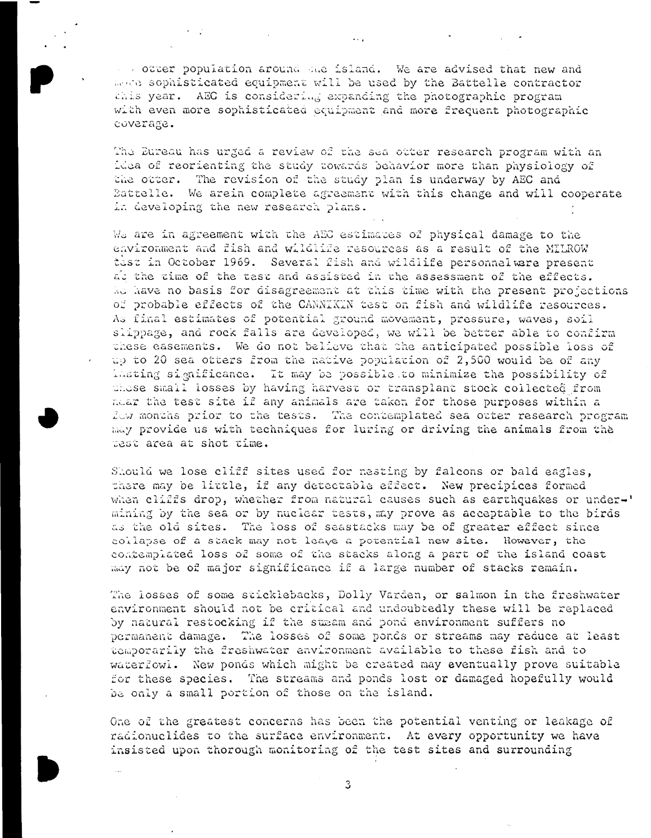octer population around sue island. We are advised that new and more sophisticated equipment will be used by the Battelle contractor this year. AEC is considering expanding the photographic program with even more sophisticated equipment and more frequent photographic coverage.

The Eureau has urged a review of the sea otter research program with an idea of reorienting the study towards behavior more than physiology of the otter. The revision of the study plan is underway by AEC and Battelle. We arein complete agreement with this change and will cooperate in developing the new research plans.

We are in agreement with the AEC estimates of physical damage to the environment and fish and wildlife resources as a result of the MILROW test in October 1969. Several fish and wildlife personnelwere present at the time of the test and assisted in the assessment of the effects. We have no basis for disagreement at this time with the present projections of probable effects of the CANNIKIN test on fish and wildlife resources. As final estimates of potential ground movement, pressure, waves, soil slippage, and rock falls are developed, we will be better able to confirm these easements. We do not believe that the anticipated possible loss of up to 20 sea otters from the native population of 2,500 would be of any lasting significance. It may be possible to minimize the possibility of these small losses by having harvest or transplant stock collected from near the test site if any animals are taken for those purposes within a fow months prior to the tests. The contemplated sea otter research program may provide us with techniques for luring or driving the animals from the test area at shot time.

Should we lose cliff sites used for nesting by falcons or bald eagles, there may be little, if any detectable effect. New precipices formed when cliffs drop, whether from natural causes such as earthquakes or under-' mining by the sea or by nuclear tests, may prove as acceptable to the birds as the old sites. The loss of seastacks may be of greater effect since collapse of a stack may not leage a potential new site. However, the contemplated loss of some of the stacks along a part of the island coast may not be of major significance if a large number of stacks remain.

The losses of some sticklebacks, Dolly Varden, or salmon in the freshwater environment should not be critical and undoubtedly these will be replaced by natural restocking if the stmam and pond environment suffers no permanent damage. The losses of some ponds or streams may reduce at least temporarily the freshwater environment available to these fish and to waterfowl. New ponds which might be created may eventually prove suitable for these species. The streams and ponds lost or damaged hopefully would be only a small portion of those on the island.

One of the greatest concerns has been the potential venting or leakage of radionuclides to the surface environment. At every opportunity we have insisted upon thorough monitoring of the test sites and surrounding

3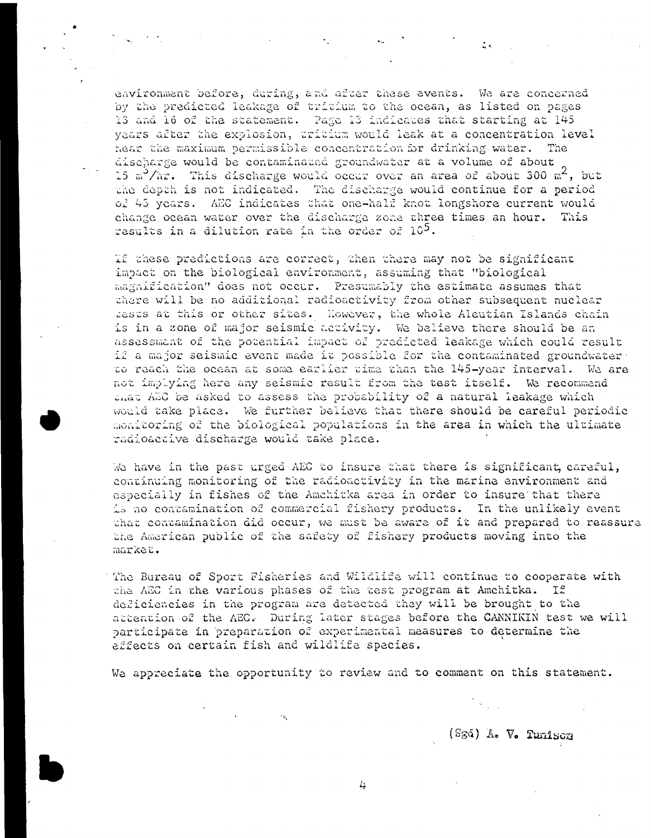environment before, during, and after these events. We are concerned by the predicted leakage of tritium to the ocean, as listed on pages 13 and 16 of the statement. Page 13 indicates that starting at 145 years after the explosion, tritium would leak at a concentration level hear the maximum permissible concentration for drinking water. The discharge would be contaminated groundwater at a volume of about 15 m<sup>3</sup>/hr. This discharge would occur over an area of about 300 m<sup>2</sup>, but the depth is not indicated. The discharge would continue for a period of 43 years. AEC indicates that one-half knot longshore current would change ocean water over the discharge zone three times an hour. This results in a dilution rate in the order of 10<sup>5</sup>.

If these predictions are correct, then there may not be significant impact on the biological environment, assuming that "biological magnification" does not occur. Presumably the estimate assumes that there will be no additional radioactivity from other subsequent nuclear lests at this or other sites. Mowever, the whole Aleutian Islands chain is in a zone of major seismic activity. We believe there should be an assessment of the potential impact of predicted leakage which could result if a major seismic event made it possible for the contaminated groundwater to reach the ocean at some earlier time than the 145-year interval. We are not implying here any seismic result from the test itself. We recommend chat AEC be asked to assess the probability of a natural leakage which would take place. We further believe that there should be careful periodic monitoring of the biological populations in the area in which the ultimate radioactive discharge would take place.

We have in the past urged AEC to insure that there is significant, careful, continuing monitoring of the radioactivity in the marine environment and especially in fishes of the Amchitka area in order to insure that there is no contamination of commercial fishery products. In the unlikely event that contamination did occur, we must be aware of it and prepared to reassure the American public of the safety of fishery products moving into the market.

The Bureau of Sport Fisheries and Wildlife will continue to cooperate with the AEC in the various phases of the test program at Amchitka. If deficiencies in the program are detected they will be brought to the attention of the AEC. During later stages before the CANNIKIN test we will participate in preparation of experimental measures to determine the effects on certain fish and wildlife species.

We appreciate the opportunity to review and to comment on this statement.

 $\mathcal{A}_{\mathbf{1},\mathbf{2}}$ 

(Sgå) A. V. Tunison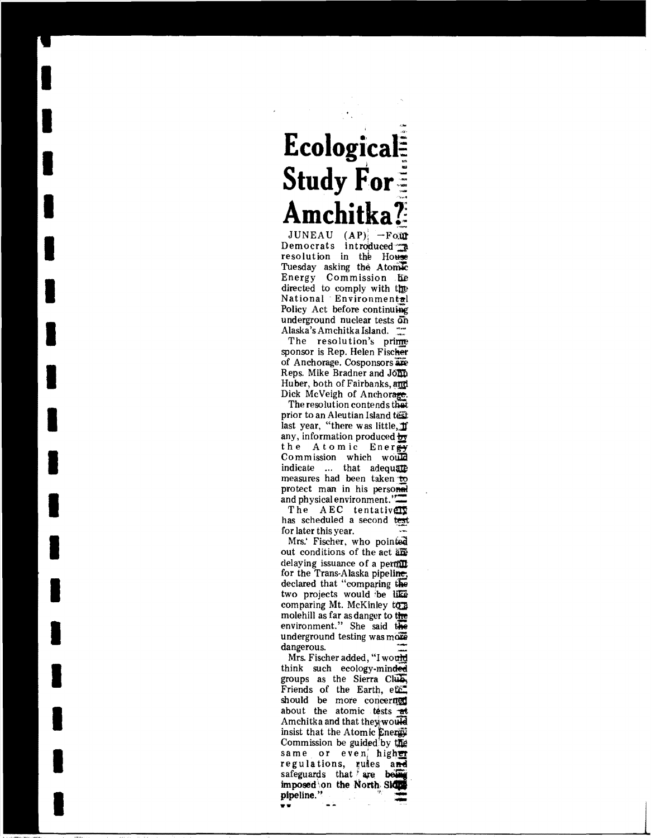## Ecological **Study For:** Amchitka?

JUNEAU  $AP$   $\rightarrow$  Four Democrats introduced a resolution in the House Tuesday asking the Atomic Energy Commission he directed to comply with the National Environmental Policy Act before continuing underground nuclear tests on Alaska's Amchitka Island.

The resolution's prime sponsor is Rep. Helen Fischer of Anchorage. Cosponsors are Reps. Mike Bradner and John Huber, both of Fairbanks, and Dick McVeigh of Anchorage.

The resolution contends that prior to an Aleutian Island test last year, "there was little, If any, information produced by the Atomic Energy Commission which would indicate ... that adequate measures had been taken to protect man in his personal and physical environment."

The AEC tentatively has scheduled a second test for later this year.

Mrs.' Fischer, who pointed out conditions of the act are delaying issuance of a permit for the Trans-Alaska pipeline, declared that "comparing the two projects would be like comparing Mt. McKinley to a molehill as far as danger to the environment." She said the underground testing was more dangerous.

Mrs. Fischer added, "I would think such ecology-minded groups as the Sierra Club Friends of the Earth, etc. should be more concerned about the atomic tests at Amchitka and that they would insist that the Atomic Energy Commission be guided by the same or even, high<del>er</del> regulations, rules and safeguards that are bein imposed on the North Side pipeline."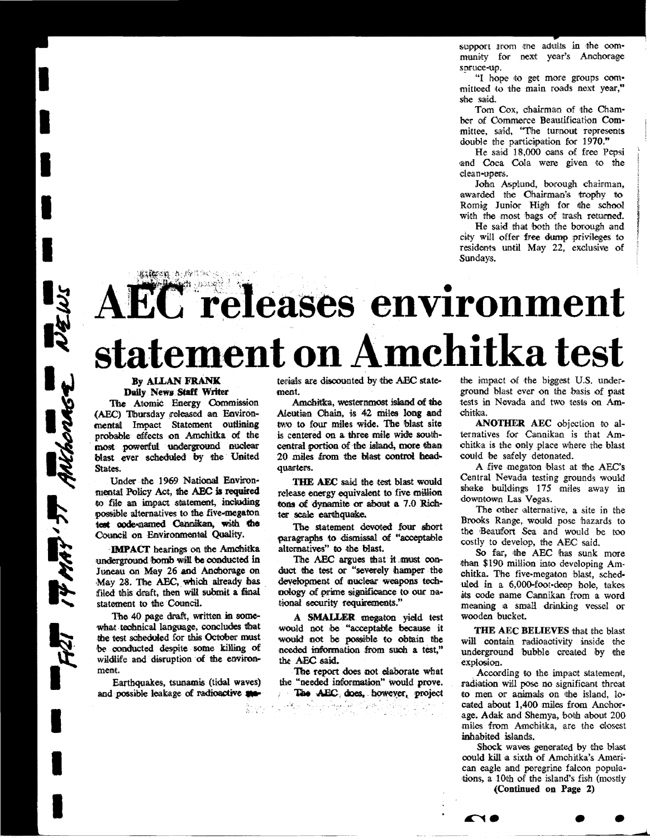support trom the adults in the community for next year's Anchorage spruce-up.

"I hope to get more groups committeed to the main roads next year." she said

Tom Cox, chairman of the Chamber of Commerce Beautification Committee, said, "The tunnout represents double the participation for 1970."

He said 18,000 cans of free Pepsi and Coca Cola were given to the clean-upers.

John Asplund, borough chairman, awarded the Chairman's trophy to Romig Junior High for the school with the most bags of trash returned.

He said that both the borough and city will offer free dump privileges to residents until May 22, exclusive of Sundays.

# EC releases environment statement on Amchitka test

#### By ALLAN FRANK Daily News Staff Writer

Athen A Arien

WEWS

ANthonese

 $47.77$ 

The Atomic Energy Commission (AEC) Thursday released an Environmental Impact Statement outlining probable effects on Amchitka of the most powerful underground nuclear blast ever scheduled by the United States.

Under the 1969 National Environmental Policy Act, the AEC is required to file an impact statement, including possible alternatives to the five-megaton test code-named Cannikan, with the Council on Environmental Quality.

**IMPACT** hearings on the Amchitka underground bomb will be conducted in Juneau on May 26 and Anchorage on May 28. The AEC, which already has filed this draft, then will submit a final statement to the Council.

The 40 page draft, written in somewhat technical language, concludes that the test scheduled for this October must be conducted despite some killing of wildlife and disruption of the environment.

Earthquakes, tsunamis (tidal waves) and possible leakage of radioactive and

terials are discounted by the AEC statement.

Amchitka, westernmost island of the Aleutian Chain, is 42 miles long and two to four miles wide. The blast site is centered on a three mile wide southcentral portion of the island, more than 20 miles from the blast control headquarters.

THE AEC said the test blast would release energy equivalent to five million tons of dynamite or about a 7.0 Richter scale earthquake.

The statement devoted four short paragraphs to dismissal of "acceptable alternatives" to the blast.

The AEC argues that it must conduct the test or "severely hamper the development of nuclear weapons technology of prime significance to our national security requirements."

A SMALLER megaton yield test would not be "acceptable because it would not be possible to obtain the needed information from such a test," the AEC said.

The report does not elaborate what the "needed information" would prove. The AEC does, however, project

े, स

والمستوقي والمتواري والمتواطن والمحاسب

an en h

the impact of the biggest U.S. underground blast ever on the basis of past tests in Nevada and two tests on Amchitka.

ANOTHER AEC objection to alternatives for Cannikan is that Amchitka is the only place where the blast could be safely detonated.

A five megaton blast at the AEC's Central Nevada testing grounds would shake buildings 175 miles away in downtown Las Vegas.

The other alternative, a site in the Brooks Range, would pose hazards to the Beaufort Sea and would be too costly to develop, the AEC said.

So far, the AEC has sunk more than \$190 million into developing Amchitka. The five-megaton blast, scheduled in a 6,000-foot-deep hole, takes its code name Cannikan from a word meaning a small drinking vessel or wooden bucket.

THE AEC BELIEVES that the blast will contain radioactivity inside the underground bubble created by the explosion.

According to the impact statement, radiation will pose no significant threat to men or animals on the island, located about 1,400 miles from Anchorage. Adak and Shemya, both about 200 miles from Amchitka, are the closest inhabited islands.

Shock waves generated by the blast could kill a sixth of Amchitka's American eagle and peregrine falcon populations, a 10th of the island's fish (mostly

(Continued on Page 2)

A16